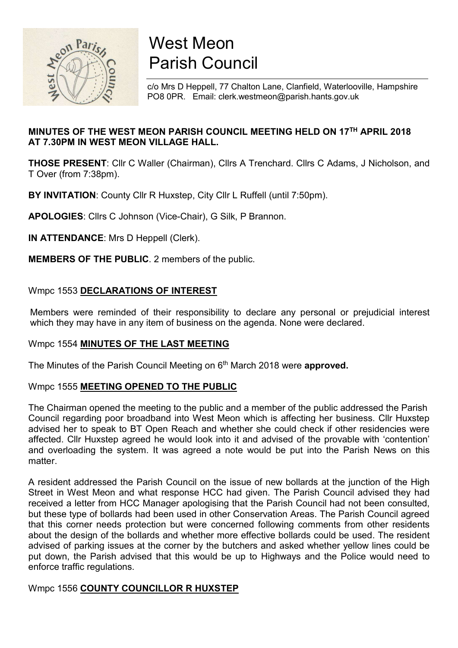

# West Meon Parish Council

c/o Mrs D Heppell, 77 Chalton Lane, Clanfield, Waterlooville, Hampshire PO8 0PR. Email: clerk.westmeon@parish.hants.gov.uk

## MINUTES OF THE WEST MEON PARISH COUNCIL MEETING HELD ON 17TH APRIL 2018 AT 7.30PM IN WEST MEON VILLAGE HALL.

THOSE PRESENT: Cllr C Waller (Chairman), Cllrs A Trenchard. Cllrs C Adams, J Nicholson, and T Over (from 7:38pm).

BY INVITATION: County Cllr R Huxstep, City Cllr L Ruffell (until 7:50pm).

APOLOGIES: Cllrs C Johnson (Vice-Chair), G Silk, P Brannon.

IN ATTENDANCE: Mrs D Heppell (Clerk).

MEMBERS OF THE PUBLIC. 2 members of the public.

## Wmpc 1553 DECLARATIONS OF INTEREST

 Members were reminded of their responsibility to declare any personal or prejudicial interest which they may have in any item of business on the agenda. None were declared.

## Wmpc 1554 MINUTES OF THE LAST MEETING

The Minutes of the Parish Council Meeting on 6<sup>th</sup> March 2018 were approved.

## Wmpc 1555 MEETING OPENED TO THE PUBLIC

The Chairman opened the meeting to the public and a member of the public addressed the Parish Council regarding poor broadband into West Meon which is affecting her business. Cllr Huxstep advised her to speak to BT Open Reach and whether she could check if other residencies were affected. Cllr Huxstep agreed he would look into it and advised of the provable with 'contention' and overloading the system. It was agreed a note would be put into the Parish News on this matter.

A resident addressed the Parish Council on the issue of new bollards at the junction of the High Street in West Meon and what response HCC had given. The Parish Council advised they had received a letter from HCC Manager apologising that the Parish Council had not been consulted, but these type of bollards had been used in other Conservation Areas. The Parish Council agreed that this corner needs protection but were concerned following comments from other residents about the design of the bollards and whether more effective bollards could be used. The resident advised of parking issues at the corner by the butchers and asked whether yellow lines could be put down, the Parish advised that this would be up to Highways and the Police would need to enforce traffic regulations.

## Wmpc 1556 COUNTY COUNCILLOR R HUXSTEP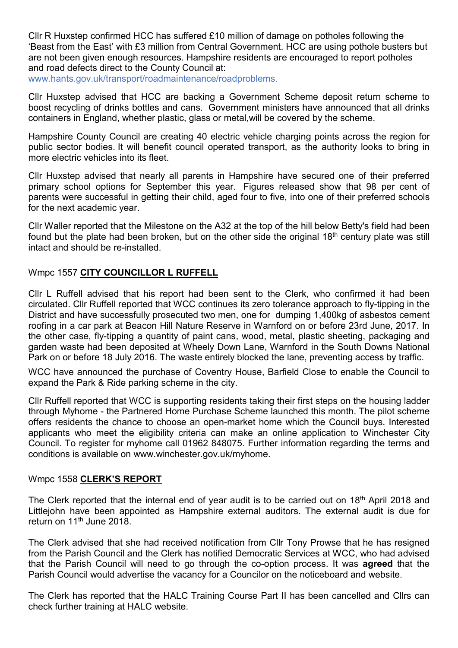Cllr R Huxstep confirmed HCC has suffered £10 million of damage on potholes following the 'Beast from the East' with £3 million from Central Government. HCC are using pothole busters but are not been given enough resources. Hampshire residents are encouraged to report potholes and road defects direct to the County Council at:

www.hants.gov.uk/transport/roadmaintenance/roadproblems.

Cllr Huxstep advised that HCC are backing a Government Scheme deposit return scheme to boost recycling of drinks bottles and cans. Government ministers have announced that all drinks containers in England, whether plastic, glass or metal,will be covered by the scheme.

Hampshire County Council are creating 40 electric vehicle charging points across the region for public sector bodies. It will benefit council operated transport, as the authority looks to bring in more electric vehicles into its fleet.

Cllr Huxstep advised that nearly all parents in Hampshire have secured one of their preferred primary school options for September this year. Figures released show that 98 per cent of parents were successful in getting their child, aged four to five, into one of their preferred schools for the next academic year.

Cllr Waller reported that the Milestone on the A32 at the top of the hill below Betty's field had been found but the plate had been broken, but on the other side the original  $18<sup>th</sup>$  century plate was still intact and should be re-installed.

### Wmpc 1557 CITY COUNCILLOR L RUFFELL

Cllr L Ruffell advised that his report had been sent to the Clerk, who confirmed it had been circulated. Cllr Ruffell reported that WCC continues its zero tolerance approach to fly-tipping in the District and have successfully prosecuted two men, one for dumping 1,400kg of asbestos cement roofing in a car park at Beacon Hill Nature Reserve in Warnford on or before 23rd June, 2017. In the other case, fly-tipping a quantity of paint cans, wood, metal, plastic sheeting, packaging and garden waste had been deposited at Wheely Down Lane, Warnford in the South Downs National Park on or before 18 July 2016. The waste entirely blocked the lane, preventing access by traffic.

WCC have announced the purchase of Coventry House, Barfield Close to enable the Council to expand the Park & Ride parking scheme in the city.

Cllr Ruffell reported that WCC is supporting residents taking their first steps on the housing ladder through Myhome - the Partnered Home Purchase Scheme launched this month. The pilot scheme offers residents the chance to choose an open-market home which the Council buys. Interested applicants who meet the eligibility criteria can make an online application to Winchester City Council. To register for myhome call 01962 848075. Further information regarding the terms and conditions is available on www.winchester.gov.uk/myhome.

#### Wmpc 1558 CLERK'S REPORT

The Clerk reported that the internal end of year audit is to be carried out on 18<sup>th</sup> April 2018 and Littlejohn have been appointed as Hampshire external auditors. The external audit is due for return on 11<sup>th</sup> June 2018.

The Clerk advised that she had received notification from Cllr Tony Prowse that he has resigned from the Parish Council and the Clerk has notified Democratic Services at WCC, who had advised that the Parish Council will need to go through the co-option process. It was agreed that the Parish Council would advertise the vacancy for a Councilor on the noticeboard and website.

The Clerk has reported that the HALC Training Course Part II has been cancelled and Cllrs can check further training at HALC website.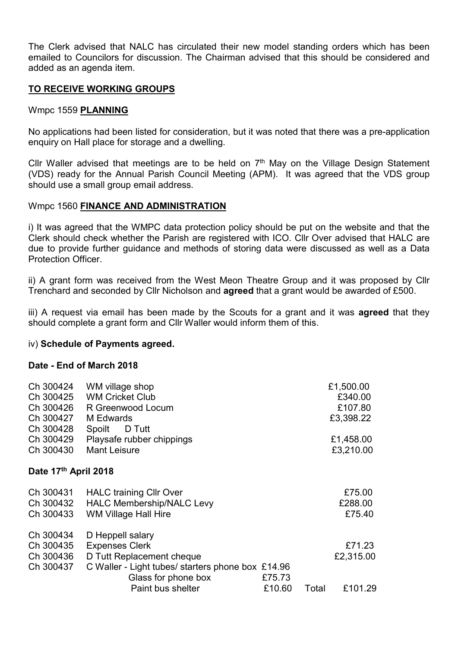The Clerk advised that NALC has circulated their new model standing orders which has been emailed to Councilors for discussion. The Chairman advised that this should be considered and added as an agenda item.

## TO RECEIVE WORKING GROUPS

#### Wmpc 1559 PLANNING

No applications had been listed for consideration, but it was noted that there was a pre-application enquiry on Hall place for storage and a dwelling.

Cllr Waller advised that meetings are to be held on  $7<sup>th</sup>$  May on the Village Design Statement (VDS) ready for the Annual Parish Council Meeting (APM). It was agreed that the VDS group should use a small group email address.

#### Wmpc 1560 FINANCE AND ADMINISTRATION

i) It was agreed that the WMPC data protection policy should be put on the website and that the Clerk should check whether the Parish are registered with ICO. Cllr Over advised that HALC are due to provide further guidance and methods of storing data were discussed as well as a Data Protection Officer.

ii) A grant form was received from the West Meon Theatre Group and it was proposed by Cllr Trenchard and seconded by Cllr Nicholson and agreed that a grant would be awarded of £500.

iii) A request via email has been made by the Scouts for a grant and it was **agreed** that they should complete a grant form and Cllr Waller would inform them of this.

#### iv) Schedule of Payments agreed.

#### Date - End of March 2018

| Ch 300424<br>Ch 300425<br>Ch 300426<br>Ch 300427<br>Ch 300428 | WM village shop<br><b>WM Cricket Club</b><br>R Greenwood Locum<br>M Edwards<br>D Tutt<br>Spoilt                                                                         |                  |       | £1,500.00<br>£340.00<br>£107.80<br>£3,398.22 |
|---------------------------------------------------------------|-------------------------------------------------------------------------------------------------------------------------------------------------------------------------|------------------|-------|----------------------------------------------|
| Ch 300429<br>Ch 300430                                        | Playsafe rubber chippings<br><b>Mant Leisure</b>                                                                                                                        |                  |       | £1,458.00<br>£3,210.00                       |
| Date 17th April 2018                                          |                                                                                                                                                                         |                  |       |                                              |
| Ch 300431<br>Ch 300432<br>Ch 300433                           | <b>HALC training Cllr Over</b><br><b>HALC Membership/NALC Levy</b><br><b>WM Village Hall Hire</b>                                                                       |                  |       | £75.00<br>£288.00<br>£75.40                  |
| Ch 300434<br>Ch 300435<br>Ch 300436<br>Ch 300437              | D Heppell salary<br><b>Expenses Clerk</b><br>D Tutt Replacement cheque<br>C Waller - Light tubes/ starters phone box £14.96<br>Glass for phone box<br>Paint bus shelter | £75.73<br>£10.60 | Total | £71.23<br>£2,315.00<br>£101.29               |